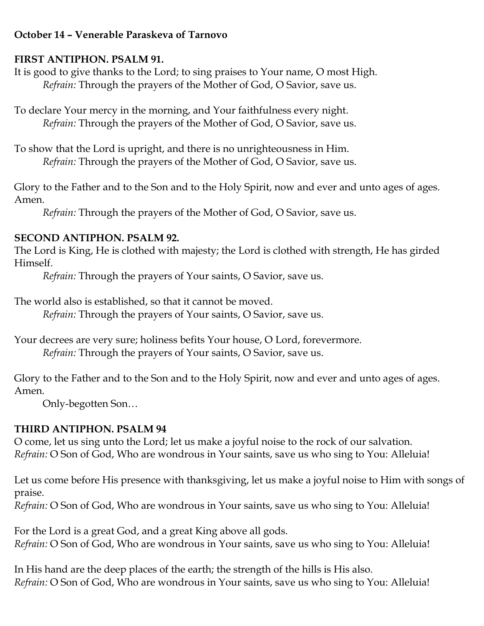### **October 14 – Venerable Paraskeva of Tarnovo**

### **FIRST ANTIPHON. PSALM 91.**

It is good to give thanks to the Lord; to sing praises to Your name, O most High. *Refrain:* Through the prayers of the Mother of God, O Savior, save us.

To declare Your mercy in the morning, and Your faithfulness every night. *Refrain:* Through the prayers of the Mother of God, O Savior, save us.

To show that the Lord is upright, and there is no unrighteousness in Him. *Refrain:* Through the prayers of the Mother of God, O Savior, save us.

Glory to the Father and to the Son and to the Holy Spirit, now and ever and unto ages of ages. Amen.

*Refrain:* Through the prayers of the Mother of God, O Savior, save us.

## **SECOND ANTIPHON. PSALM 92.**

The Lord is King, He is clothed with majesty; the Lord is clothed with strength, He has girded Himself.

*Refrain:* Through the prayers of Your saints, O Savior, save us.

The world also is established, so that it cannot be moved.

*Refrain:* Through the prayers of Your saints, O Savior, save us.

Your decrees are very sure; holiness befits Your house, O Lord, forevermore. *Refrain:* Through the prayers of Your saints, O Savior, save us.

Glory to the Father and to the Son and to the Holy Spirit, now and ever and unto ages of ages. Amen.

Only-begotten Son…

# **THIRD ANTIPHON. PSALM 94**

O come, let us sing unto the Lord; let us make a joyful noise to the rock of our salvation. *Refrain:* O Son of God, Who are wondrous in Your saints, save us who sing to You: Alleluia!

Let us come before His presence with thanksgiving, let us make a joyful noise to Him with songs of praise.

*Refrain:* O Son of God, Who are wondrous in Your saints, save us who sing to You: Alleluia!

For the Lord is a great God, and a great King above all gods. *Refrain:* O Son of God, Who are wondrous in Your saints, save us who sing to You: Alleluia!

In His hand are the deep places of the earth; the strength of the hills is His also. *Refrain:* O Son of God, Who are wondrous in Your saints, save us who sing to You: Alleluia!